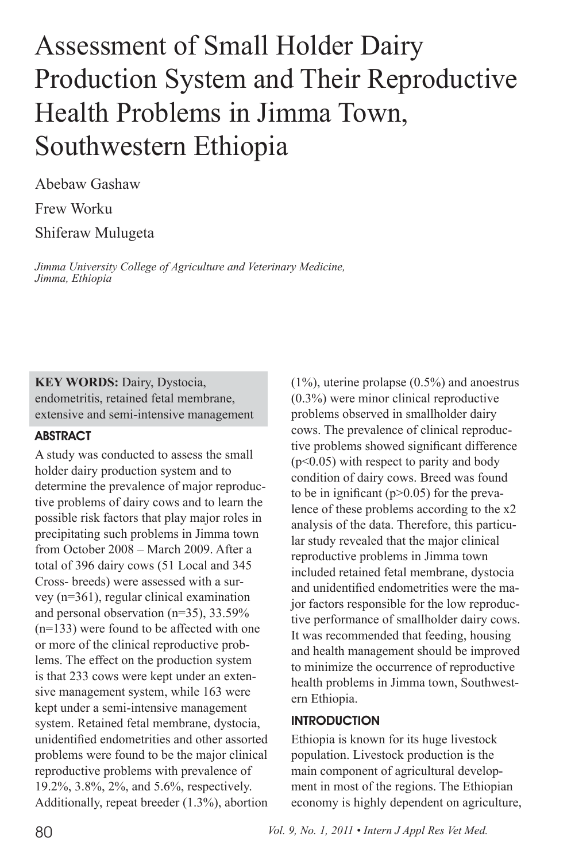# Assessment of Small Holder Dairy Production System and Their Reproductive Health Problems in Jimma Town, Southwestern Ethiopia

Abebaw Gashaw Frew Worku Shiferaw Mulugeta

*Jimma University College of Agriculture and Veterinary Medicine, Jimma, Ethiopia*

**KEY WORDS:** Dairy, Dystocia, endometritis, retained fetal membrane, extensive and semi-intensive management

### ABSTRACT

A study was conducted to assess the small holder dairy production system and to determine the prevalence of major reproductive problems of dairy cows and to learn the possible risk factors that play major roles in precipitating such problems in Jimma town from October 2008 – March 2009. After a total of 396 dairy cows (51 Local and 345 Cross- breeds) were assessed with a survey (n=361), regular clinical examination and personal observation (n=35), 33.59% (n=133) were found to be affected with one or more of the clinical reproductive problems. The effect on the production system is that 233 cows were kept under an extensive management system, while 163 were kept under a semi-intensive management system. Retained fetal membrane, dystocia, unidentified endometrities and other assorted problems were found to be the major clinical reproductive problems with prevalence of 19.2%, 3.8%, 2%, and 5.6%, respectively. Additionally, repeat breeder (1.3%), abortion

(1%), uterine prolapse (0.5%) and anoestrus (0.3%) were minor clinical reproductive problems observed in smallholder dairy cows. The prevalence of clinical reproductive problems showed significant difference (p<0.05) with respect to parity and body condition of dairy cows. Breed was found to be in ignificant ( $p > 0.05$ ) for the prevalence of these problems according to the x2 analysis of the data. Therefore, this particular study revealed that the major clinical reproductive problems in Jimma town included retained fetal membrane, dystocia and unidentified endometrities were the major factors responsible for the low reproductive performance of smallholder dairy cows. It was recommended that feeding, housing and health management should be improved to minimize the occurrence of reproductive health problems in Jimma town, Southwestern Ethiopia.

#### **INTRODUCTION**

Ethiopia is known for its huge livestock population. Livestock production is the main component of agricultural development in most of the regions. The Ethiopian economy is highly dependent on agriculture,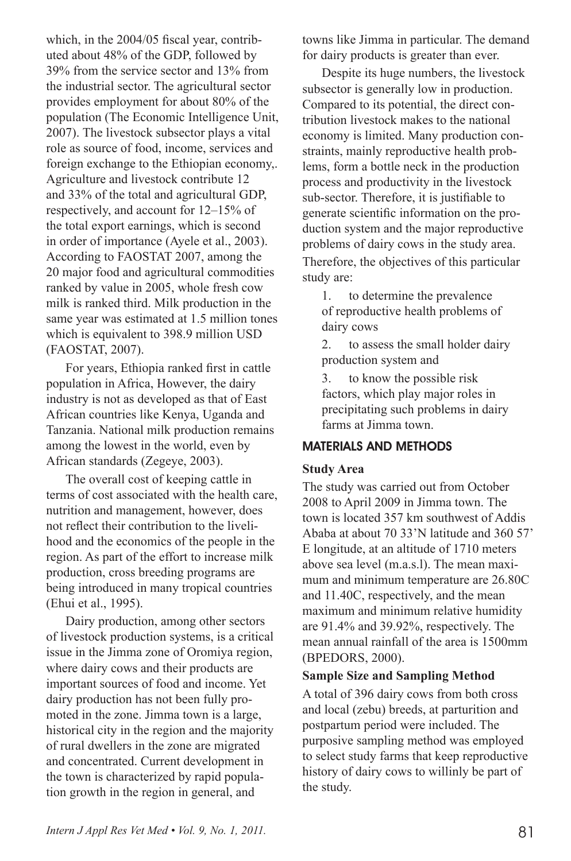which, in the 2004/05 fiscal year, contributed about 48% of the GDP, followed by 39% from the service sector and 13% from the industrial sector. The agricultural sector provides employment for about 80% of the population (The Economic Intelligence Unit, 2007). The livestock subsector plays a vital role as source of food, income, services and foreign exchange to the Ethiopian economy,. Agriculture and livestock contribute 12 and 33% of the total and agricultural GDP, respectively, and account for 12–15% of the total export earnings, which is second in order of importance (Ayele et al., 2003). According to FAOSTAT 2007, among the 20 major food and agricultural commodities ranked by value in 2005, whole fresh cow milk is ranked third. Milk production in the same year was estimated at 1.5 million tones which is equivalent to 398.9 million USD (FAOSTAT, 2007).

For years, Ethiopia ranked first in cattle population in Africa, However, the dairy industry is not as developed as that of East African countries like Kenya, Uganda and Tanzania. National milk production remains among the lowest in the world, even by African standards (Zegeye, 2003).

The overall cost of keeping cattle in terms of cost associated with the health care, nutrition and management, however, does not reflect their contribution to the livelihood and the economics of the people in the region. As part of the effort to increase milk production, cross breeding programs are being introduced in many tropical countries (Ehui et al., 1995).

Dairy production, among other sectors of livestock production systems, is a critical issue in the Jimma zone of Oromiya region, where dairy cows and their products are important sources of food and income. Yet dairy production has not been fully promoted in the zone. Jimma town is a large, historical city in the region and the majority of rural dwellers in the zone are migrated and concentrated. Current development in the town is characterized by rapid population growth in the region in general, and

towns like Jimma in particular. The demand for dairy products is greater than ever.

Despite its huge numbers, the livestock subsector is generally low in production. Compared to its potential, the direct contribution livestock makes to the national economy is limited. Many production constraints, mainly reproductive health problems, form a bottle neck in the production process and productivity in the livestock sub-sector. Therefore, it is justifiable to generate scientific information on the production system and the major reproductive problems of dairy cows in the study area.

Therefore, the objectives of this particular study are:

1. to determine the prevalence of reproductive health problems of dairy cows

2. to assess the small holder dairy production system and

3. to know the possible risk factors, which play major roles in precipitating such problems in dairy farms at Jimma town.

## MATERIALS AND METHODS

### **Study Area**

The study was carried out from October 2008 to April 2009 in Jimma town. The town is located 357 km southwest of Addis Ababa at about 70 33'N latitude and 360 57' E longitude, at an altitude of 1710 meters above sea level (m.a.s.l). The mean maximum and minimum temperature are 26.80C and 11.40C, respectively, and the mean maximum and minimum relative humidity are 91.4% and 39.92%, respectively. The mean annual rainfall of the area is 1500mm (BPEDORS, 2000).

### **Sample Size and Sampling Method**

A total of 396 dairy cows from both cross and local (zebu) breeds, at parturition and postpartum period were included. The purposive sampling method was employed to select study farms that keep reproductive history of dairy cows to willinly be part of the study.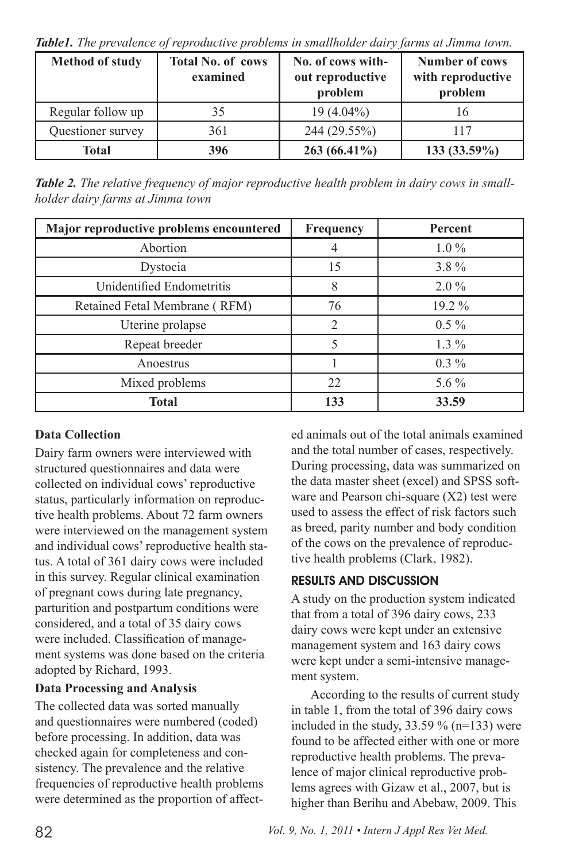*Table1. The prevalence of reproductive problems in smallholder dairy farms at Jimma town.*

| <b>Method of study</b> | <b>Total No. of cows</b><br>examined | No. of cows with-<br>out reproductive<br>problem | Number of cows<br>with reproductive<br>problem |
|------------------------|--------------------------------------|--------------------------------------------------|------------------------------------------------|
| Regular follow up      | 35                                   | $19(4.04\%)$                                     | 16                                             |
| Questioner survey      | 361                                  | 244 (29.55%)                                     | 117                                            |
| Total                  | 396                                  | $263(66.41\%)$                                   | $133(33.59\%)$                                 |

*Table 2. The relative frequency of major reproductive health problem in dairy cows in smallholder dairy farms at Jimma town*

| Major reproductive problems encountered | Frequency | Percent |
|-----------------------------------------|-----------|---------|
| Abortion                                |           | $1.0\%$ |
| Dystocia                                | 15        | $3.8\%$ |
| Unidentified Endometritis               | 8         | $2.0\%$ |
| Retained Fetal Membrane (RFM)           | 76        | 19.2 %  |
| Uterine prolapse                        | 2         | $0.5\%$ |
| Repeat breeder                          | 5         | $1.3\%$ |
| Anoestrus                               |           | $0.3\%$ |
| Mixed problems                          | 22        | 5.6 $%$ |
| Total                                   | 133       | 33.59   |

## **Data Collection**

Dairy farm owners were interviewed with structured questionnaires and data were collected on individual cows' reproductive status, particularly information on reproductive health problems. About 72 farm owners were interviewed on the management system and individual cows' reproductive health status. A total of 361 dairy cows were included in this survey. Regular clinical examination of pregnant cows during late pregnancy, parturition and postpartum conditions were considered, and a total of 35 dairy cows were included. Classification of management systems was done based on the criteria adopted by Richard, 1993.

### **Data Processing and Analysis**

The collected data was sorted manually and questionnaires were numbered (coded) before processing. In addition, data was checked again for completeness and consistency. The prevalence and the relative frequencies of reproductive health problems were determined as the proportion of affected animals out of the total animals examined and the total number of cases, respectively. During processing, data was summarized on the data master sheet (excel) and SPSS software and Pearson chi-square (X2) test were used to assess the effect of risk factors such as breed, parity number and body condition of the cows on the prevalence of reproductive health problems (Clark, 1982).

## Results and Discussion

A study on the production system indicated that from a total of 396 dairy cows, 233 dairy cows were kept under an extensive management system and 163 dairy cows were kept under a semi-intensive management system.

According to the results of current study in table 1, from the total of 396 dairy cows included in the study,  $33.59 \%$  (n=133) were found to be affected either with one or more reproductive health problems. The prevalence of major clinical reproductive problems agrees with Gizaw et al., 2007, but is higher than Berihu and Abebaw, 2009. This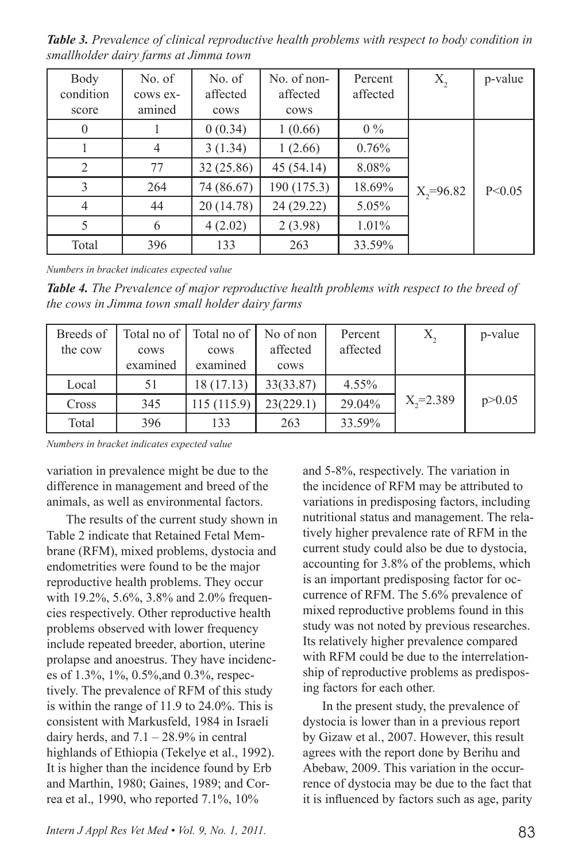*Table 3. Prevalence of clinical reproductive health problems with respect to body condition in smallholder dairy farms at Jimma town*

| Body      | No. of         | No. of     | No. of non- | Percent  | X,              | p-value  |
|-----------|----------------|------------|-------------|----------|-----------------|----------|
| condition | cows ex-       | affected   | affected    | affected |                 |          |
| score     | amined         | cows       | cows        |          |                 |          |
| $\theta$  |                | 0(0.34)    | 1(0.66)     | $0\%$    |                 |          |
|           | $\overline{4}$ | 3(1.34)    | 1(2.66)     | 0.76%    |                 |          |
| 2         | 77             | 32 (25.86) | 45(54.14)   | 8.08%    |                 |          |
| 3         | 264            | 74 (86.67) | 190 (175.3) | 18.69%   | $X_{2} = 96.82$ | P < 0.05 |
| 4         | 44             | 20 (14.78) | 24 (29.22)  | 5.05%    |                 |          |
| 5         | 6              | 4(2.02)    | 2(3.98)     | 1.01%    |                 |          |
| Total     | 396            | 133        | 263         | 33.59%   |                 |          |

*Numbers in bracket indicates expected value*

*Table 4. The Prevalence of major reproductive health problems with respect to the breed of the cows in Jimma town small holder dairy farms*

| Breeds of<br>the cow | Total no of  <br>cows<br>examined | Total no of<br>cows<br>examined | No of non<br>affected<br>cows | Percent<br>affected |                 | p-value  |
|----------------------|-----------------------------------|---------------------------------|-------------------------------|---------------------|-----------------|----------|
| Local                | 51                                | 18 (17.13)                      | 33(33.87)                     | 4.55%               |                 |          |
| Cross                | 345                               | 115(115.9)                      | 23(229.1)                     | 29.04%              | $X_{2} = 2.389$ | p > 0.05 |
| Total                | 396                               | 133                             | 263                           | 33.59%              |                 |          |

*Numbers in bracket indicates expected value*

variation in prevalence might be due to the difference in management and breed of the animals, as well as environmental factors.

The results of the current study shown in Table 2 indicate that Retained Fetal Membrane (RFM), mixed problems, dystocia and endometrities were found to be the major reproductive health problems. They occur with 19.2%, 5.6%, 3.8% and 2.0% frequencies respectively. Other reproductive health problems observed with lower frequency include repeated breeder, abortion, uterine prolapse and anoestrus. They have incidences of 1.3%, 1%, 0.5%,and 0.3%, respectively. The prevalence of RFM of this study is within the range of 11.9 to 24.0%. This is consistent with Markusfeld, 1984 in Israeli dairy herds, and  $7.1 - 28.9\%$  in central highlands of Ethiopia (Tekelye et al., 1992). It is higher than the incidence found by Erb and Marthin, 1980; Gaines, 1989; and Correa et al., 1990, who reported 7.1%, 10%

and 5-8%, respectively. The variation in the incidence of RFM may be attributed to variations in predisposing factors, including nutritional status and management. The relatively higher prevalence rate of RFM in the current study could also be due to dystocia, accounting for 3.8% of the problems, which is an important predisposing factor for occurrence of RFM. The 5.6% prevalence of mixed reproductive problems found in this study was not noted by previous researches. Its relatively higher prevalence compared with RFM could be due to the interrelationship of reproductive problems as predisposing factors for each other.

In the present study, the prevalence of dystocia is lower than in a previous report by Gizaw et al., 2007. However, this result agrees with the report done by Berihu and Abebaw, 2009. This variation in the occurrence of dystocia may be due to the fact that it is influenced by factors such as age, parity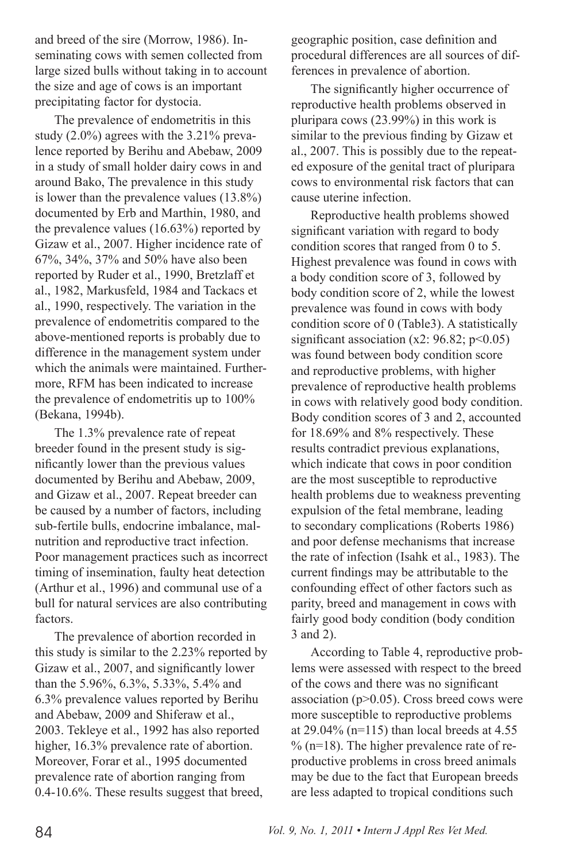and breed of the sire (Morrow, 1986). Inseminating cows with semen collected from large sized bulls without taking in to account the size and age of cows is an important precipitating factor for dystocia.

The prevalence of endometritis in this study (2.0%) agrees with the 3.21% prevalence reported by Berihu and Abebaw, 2009 in a study of small holder dairy cows in and around Bako, The prevalence in this study is lower than the prevalence values (13.8%) documented by Erb and Marthin, 1980, and the prevalence values (16.63%) reported by Gizaw et al., 2007. Higher incidence rate of 67%, 34%, 37% and 50% have also been reported by Ruder et al., 1990, Bretzlaff et al., 1982, Markusfeld, 1984 and Tackacs et al., 1990, respectively. The variation in the prevalence of endometritis compared to the above-mentioned reports is probably due to difference in the management system under which the animals were maintained. Furthermore, RFM has been indicated to increase the prevalence of endometritis up to 100% (Bekana, 1994b).

The 1.3% prevalence rate of repeat breeder found in the present study is significantly lower than the previous values documented by Berihu and Abebaw, 2009, and Gizaw et al., 2007. Repeat breeder can be caused by a number of factors, including sub-fertile bulls, endocrine imbalance, malnutrition and reproductive tract infection. Poor management practices such as incorrect timing of insemination, faulty heat detection (Arthur et al., 1996) and communal use of a bull for natural services are also contributing factors.

The prevalence of abortion recorded in this study is similar to the 2.23% reported by Gizaw et al., 2007, and significantly lower than the 5.96%, 6.3%, 5.33%, 5.4% and 6.3% prevalence values reported by Berihu and Abebaw, 2009 and Shiferaw et al., 2003. Tekleye et al., 1992 has also reported higher,  $16.3\%$  prevalence rate of abortion. Moreover, Forar et al., 1995 documented prevalence rate of abortion ranging from 0.4-10.6%. These results suggest that breed,

geographic position, case definition and procedural differences are all sources of differences in prevalence of abortion.

The significantly higher occurrence of reproductive health problems observed in pluripara cows (23.99%) in this work is similar to the previous finding by Gizaw et al., 2007. This is possibly due to the repeated exposure of the genital tract of pluripara cows to environmental risk factors that can cause uterine infection.

Reproductive health problems showed significant variation with regard to body condition scores that ranged from 0 to 5. Highest prevalence was found in cows with a body condition score of 3, followed by body condition score of 2, while the lowest prevalence was found in cows with body condition score of 0 (Table3). A statistically significant association  $(x2: 96.82; p<0.05)$ was found between body condition score and reproductive problems, with higher prevalence of reproductive health problems in cows with relatively good body condition. Body condition scores of 3 and 2, accounted for 18.69% and 8% respectively. These results contradict previous explanations, which indicate that cows in poor condition are the most susceptible to reproductive health problems due to weakness preventing expulsion of the fetal membrane, leading to secondary complications (Roberts 1986) and poor defense mechanisms that increase the rate of infection (Isahk et al., 1983). The current findings may be attributable to the confounding effect of other factors such as parity, breed and management in cows with fairly good body condition (body condition 3 and 2).

According to Table 4, reproductive problems were assessed with respect to the breed of the cows and there was no significant association ( $p$  $>$ 0.05). Cross breed cows were more susceptible to reproductive problems at  $29.04\%$  (n=115) than local breeds at 4.55  $\%$  (n=18). The higher prevalence rate of reproductive problems in cross breed animals may be due to the fact that European breeds are less adapted to tropical conditions such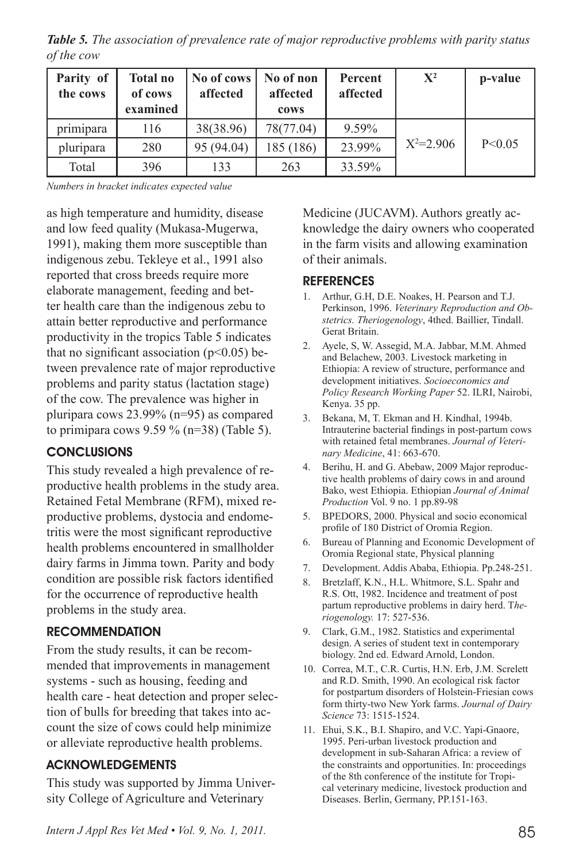*Table 5. The association of prevalence rate of major reproductive problems with parity status of the cow*

| Parity of<br>the cows | <b>Total no</b><br>of cows<br>examined | No of cows<br>affected | No of non<br>affected<br>cows | Percent<br>affected | $\mathbf{X}^2$ | p-value  |
|-----------------------|----------------------------------------|------------------------|-------------------------------|---------------------|----------------|----------|
| primipara             | 116                                    | 38(38.96)              | 78(77.04)                     | 9.59%               |                |          |
| pluripara             | 280                                    | 95 (94.04)             | 185 (186)                     | 23.99%              | $X^2=2.906$    | P < 0.05 |
| Total                 | 396                                    | 133                    | 263                           | 33.59%              |                |          |

*Numbers in bracket indicates expected value*

as high temperature and humidity, disease and low feed quality (Mukasa-Mugerwa, 1991), making them more susceptible than indigenous zebu. Tekleye et al., 1991 also reported that cross breeds require more elaborate management, feeding and better health care than the indigenous zebu to attain better reproductive and performance productivity in the tropics Table 5 indicates that no significant association ( $p<0.05$ ) between prevalence rate of major reproductive problems and parity status (lactation stage) of the cow. The prevalence was higher in pluripara cows 23.99% (n=95) as compared to primipara cows  $9.59 \%$  (n=38) (Table 5).

### **CONCLUSIONS**

This study revealed a high prevalence of reproductive health problems in the study area. Retained Fetal Membrane (RFM), mixed reproductive problems, dystocia and endometritis were the most significant reproductive health problems encountered in smallholder dairy farms in Jimma town. Parity and body condition are possible risk factors identified for the occurrence of reproductive health problems in the study area.

### **RECOMMENDATION**

From the study results, it can be recommended that improvements in management systems - such as housing, feeding and health care - heat detection and proper selection of bulls for breeding that takes into account the size of cows could help minimize or alleviate reproductive health problems.

## **ACKNOWLEDGEMENTS**

This study was supported by Jimma University College of Agriculture and Veterinary

Medicine (JUCAVM). Authors greatly acknowledge the dairy owners who cooperated in the farm visits and allowing examination of their animals.

### **REFERENCES**

- 1. Arthur, G.H, D.E. Noakes, H. Pearson and T.J. Perkinson, 1996. *Veterinary Reproduction and Obstetrics. Theriogenology*, 4thed. Baillier, Tindall. Gerat Britain.
- 2. Ayele, S, W. Assegid, M.A. Jabbar, M.M. Ahmed and Belachew, 2003. Livestock marketing in Ethiopia: A review of structure, performance and development initiatives. *Socioeconomics and Policy Research Working Paper* 52. ILRI, Nairobi, Kenya. 35 pp.
- 3. Bekana, M, T. Ekman and H. Kindhal, 1994b. Intrauterine bacterial findings in post-partum cows with retained fetal membranes. *Journal of Veterinary Medicine*, 41: 663-670.
- 4. Berihu, H. and G. Abebaw, 2009 Major reproductive health problems of dairy cows in and around Bako, west Ethiopia. Ethiopian *Journal of Animal Production* Vol. 9 no. 1 pp.89-98
- 5. BPEDORS, 2000. Physical and socio economical profile of 180 District of Oromia Region.
- 6. Bureau of Planning and Economic Development of Oromia Regional state, Physical planning
- 7. Development. Addis Ababa, Ethiopia. Pp.248-251.
- 8. Bretzlaff, K.N., H.L. Whitmore, S.L. Spahr and R.S. Ott, 1982. Incidence and treatment of post partum reproductive problems in dairy herd. T*heriogenology.* 17: 527-536.
- 9. Clark, G.M., 1982. Statistics and experimental design. A series of student text in contemporary biology. 2nd ed. Edward Arnold, London.
- 10. Correa, M.T., C.R. Curtis, H.N. Erb, J.M. Screlett and R.D. Smith, 1990. An ecological risk factor for postpartum disorders of Holstein-Friesian cows form thirty-two New York farms. *Journal of Dairy Science* 73: 1515-1524.
- 11. Ehui, S.K., B.I. Shapiro, and V.C. Yapi-Gnaore, 1995. Peri-urban livestock production and development in sub-Saharan Africa: a review of the constraints and opportunities. In: proceedings of the 8th conference of the institute for Tropical veterinary medicine, livestock production and Diseases. Berlin, Germany, PP.151-163.